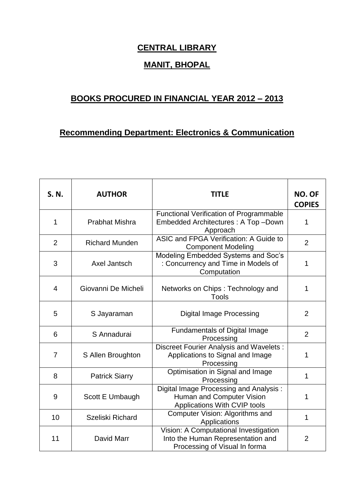## **CENTRAL LIBRARY**

## **MANIT, BHOPAL**

## **BOOKS PROCURED IN FINANCIAL YEAR 2012 – 2013**

## **Recommending Department: Electronics & Communication**

| S. N.          | <b>AUTHOR</b>         | <b>TITLE</b>                                                                                                | <b>NO. OF</b><br><b>COPIES</b> |
|----------------|-----------------------|-------------------------------------------------------------------------------------------------------------|--------------------------------|
| 1              | <b>Prabhat Mishra</b> | <b>Functional Verification of Programmable</b><br>Embedded Architectures: A Top-Down<br>Approach            | 1                              |
| $\overline{2}$ | <b>Richard Munden</b> | ASIC and FPGA Verification: A Guide to<br><b>Component Modeling</b>                                         | $\overline{2}$                 |
| 3              | Axel Jantsch          | Modeling Embedded Systems and Soc's<br>: Concurrency and Time in Models of<br>Computation                   | 1                              |
| 4              | Giovanni De Micheli   | Networks on Chips: Technology and<br>Tools                                                                  | 1                              |
| 5              | S Jayaraman           | <b>Digital Image Processing</b>                                                                             | $\overline{2}$                 |
| 6              | S Annadurai           | <b>Fundamentals of Digital Image</b><br>Processing                                                          | $\overline{2}$                 |
| 7              | S Allen Broughton     | <b>Discreet Fourier Analysis and Wavelets:</b><br>Applications to Signal and Image<br>Processing            | 1                              |
| 8              | <b>Patrick Siarry</b> | Optimisation in Signal and Image<br>Processing                                                              | 1                              |
| 9              | Scott E Umbaugh       | Digital Image Processing and Analysis:<br>Human and Computer Vision<br>Applications With CVIP tools         | 1                              |
| 10             | Szeliski Richard      | Computer Vision: Algorithms and<br>Applications                                                             | 1                              |
| 11             | David Marr            | Vision: A Computational Investigation<br>Into the Human Representation and<br>Processing of Visual In forma | $\overline{2}$                 |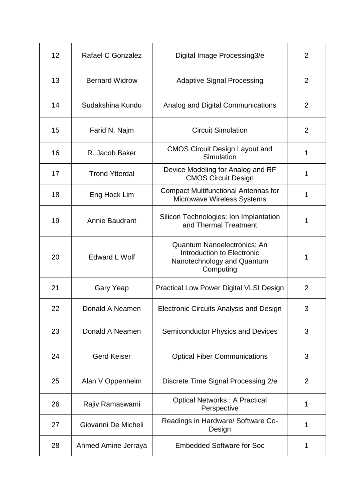| 12 | Rafael C Gonzalez     | Digital Image Processing3/e                                                                                 | $\overline{2}$ |
|----|-----------------------|-------------------------------------------------------------------------------------------------------------|----------------|
| 13 | <b>Bernard Widrow</b> | <b>Adaptive Signal Processing</b>                                                                           | 2              |
| 14 | Sudakshina Kundu      | Analog and Digital Communications                                                                           | 2              |
| 15 | Farid N. Najm         | <b>Circuit Simulation</b>                                                                                   | 2              |
| 16 | R. Jacob Baker        | <b>CMOS Circuit Design Layout and</b><br>Simulation                                                         | 1              |
| 17 | <b>Trond Ytterdal</b> | Device Modeling for Analog and RF<br><b>CMOS Circuit Design</b>                                             | 1              |
| 18 | Eng Hock Lim          | <b>Compact Multifunctional Antennas for</b><br>Microwave Wireless Systems                                   | 1              |
| 19 | Annie Baudrant        | Silicon Technologies: Ion Implantation<br>and Thermal Treatment                                             | 1              |
| 20 | <b>Edward L Wolf</b>  | <b>Quantum Nanoelectronics: An</b><br>Introduction to Electronic<br>Nanotechnology and Quantum<br>Computing | 1              |
| 21 | <b>Gary Yeap</b>      | <b>Practical Low Power Digital VLSI Design</b>                                                              | $\overline{2}$ |
| 22 | Donald A Neamen       | <b>Electronic Circuits Analysis and Design</b>                                                              | 3              |
| 23 | Donald A Neamen       | <b>Semiconductor Physics and Devices</b>                                                                    | 3              |
| 24 | <b>Gerd Keiser</b>    | <b>Optical Fiber Communications</b>                                                                         | 3              |
| 25 | Alan V Oppenheim      | Discrete Time Signal Processing 2/e                                                                         | $\overline{2}$ |
| 26 | Rajiv Ramaswami       | <b>Optical Networks: A Practical</b><br>Perspective                                                         | 1              |
| 27 | Giovanni De Micheli   | Readings in Hardware/ Software Co-<br>Design                                                                | 1              |
| 28 | Ahmed Amine Jerraya   | <b>Embedded Software for Soc</b>                                                                            | 1              |